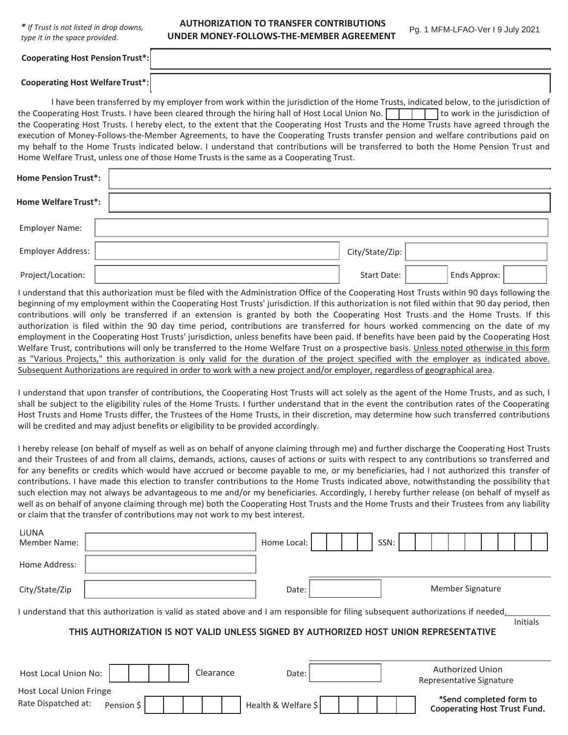*\* If Trust is not listed in drop downs, type it in the space provided.*

**AUTHORIZATION TO TRANSFER CONTRIBUTIONS UNDER MONEY-FOLLOWS-THE-MEMBER AGREEMENT**

Pg. 1 MFM-LFAO-Ver I 9 July 2021

**Cooperating Host Welfare Trust\*:**

I have been transferred by my employer from work within the jurisdiction of the Home Trusts, indicated below, to the jurisdiction of the Cooperating Host Trusts. I have been cleared through the hiring hall of Host Local Union No.  $\Box$  to work in the jurisdiction of the Cooperating Host Trusts. I hereby elect, to the extent that the Cooperating Host Trusts and the Home Trusts have agreed through the execution of Money-Follows-the-Member Agreements, to have the Cooperating Trusts transfer pension and welfare contributions paid on my behalf to the Home Trusts indicated below. I understand that contributions will be transferred to both the Home Pension Trust and Home Welfare Trust, unless one of those Home Trusts is the same as a Cooperating Trust.

| <b>Home Pension Trust*:</b> |                 |              |  |
|-----------------------------|-----------------|--------------|--|
| <b>Home Welfare Trust*:</b> |                 |              |  |
| <b>Employer Name:</b>       |                 |              |  |
| Employer Address:           | City/State/Zip: |              |  |
| Project/Location:           | Start Date:     | Ends Approx: |  |

I understand that this authorization must be filed with the Administration Office of the Cooperating Host Trusts within 90 days following the beginning of my employment within the Cooperating Host Trusts' jurisdiction. If this authorization is not filed within that 90 day period, then contributions will only be transferred if an extension is granted by both the Cooperating Host Trusts and the Home Trusts. If this authorization is filed within the 90 day time period, contributions are transferred for hours worked commencing on the date of my employment in the Cooperating Host Trusts' jurisdiction, unless benefits have been paid. If benefits have been paid by the Cooperating Host Welfare Trust, contributions will only be transferred to the Home Welfare Trust on a prospective basis. Unless noted otherwise in this form as "Various Projects," this authorization is only valid for the duration of the project specified with the employer as indicated above. Subsequent Authorizations are required in order to work with a new project and/or employer, regardless of geographical area.

I understand that upon transfer of contributions, the Cooperating Host Trusts will act solely as the agent of the Home Trusts, and as such, I shall be subject to the eligibility rules of the Home Trusts. I further understand that in the event the contribution rates of the Cooperating Host Trusts and Home Trusts differ, the Trustees of the Home Trusts, in their discretion, may determine how such transferred contributions will be credited and may adjust benefits or eligibility to be provided accordingly.

I hereby release (on behalf of myself as well as on behalf of anyone claiming through me) and further discharge the Cooperating Host Trusts and their Trustees of and from all claims, demands, actions, causes of actions or suits with respect to any contributions so transferred and for any benefits or credits which would have accrued or become payable to me, or my beneficiaries, had I not authorized this transfer of contributions. I have made this election to transfer contributions to the Home Trusts indicated above, notwithstanding the possibility that such election may not always be advantageous to me and/or my beneficiaries. Accordingly, I hereby further release (on behalf of myself as well as on behalf of anyone claiming through me) both the Cooperating Host Trusts and the Home Trusts and their Trustees from any liability or claim that the transfer of contributions may not work to my best interest.

| LiUNA<br><b>Member Name:</b>                                                                                                       |            |  |           | Home Local:         |  |  | SSN: |  |                                                                |  |  |  |
|------------------------------------------------------------------------------------------------------------------------------------|------------|--|-----------|---------------------|--|--|------|--|----------------------------------------------------------------|--|--|--|
| Home Address:                                                                                                                      |            |  |           |                     |  |  |      |  |                                                                |  |  |  |
| City/State/Zip                                                                                                                     |            |  |           | Date:               |  |  |      |  | Member Signature                                               |  |  |  |
| I understand that this authorization is valid as stated above and I am responsible for filing subsequent authorizations if needed. |            |  |           |                     |  |  |      |  |                                                                |  |  |  |
| <b>Initials</b><br>THIS AUTHORIZATION IS NOT VALID UNLESS SIGNED BY AUTHORIZED HOST UNION REPRESENTATIVE                           |            |  |           |                     |  |  |      |  |                                                                |  |  |  |
| Host Local Union No:                                                                                                               |            |  | Clearance | Date:               |  |  |      |  | <b>Authorized Union</b><br>Representative Signature            |  |  |  |
| <b>Host Local Union Fringe</b><br>Rate Dispatched at:                                                                              | Pension \$ |  |           | Health & Welfare \$ |  |  |      |  | *Send completed form to<br><b>Cooperating Host Trust Fund.</b> |  |  |  |